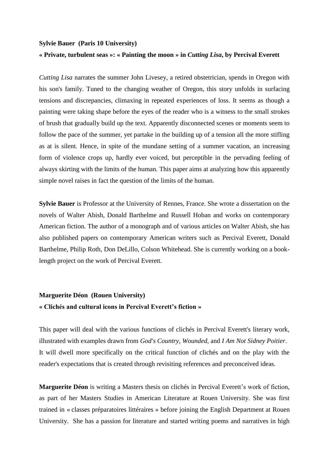### **Sylvie Bauer (Paris 10 University)**

### **« Private, turbulent seas »: « Painting the moon » in** *Cutting Lisa***, by Percival Everett**

*Cutting Lisa* narrates the summer John Livesey, a retired obstetrician, spends in Oregon with his son's family. Tuned to the changing weather of Oregon, this story unfolds in surfacing tensions and discrepancies, climaxing in repeated experiences of loss. It seems as though a painting were taking shape before the eyes of the reader who is a witness to the small strokes of brush that gradually build up the text. Apparently disconnected scenes or moments seem to follow the pace of the summer, yet partake in the building up of a tension all the more stifling as at is silent. Hence, in spite of the mundane setting of a summer vacation, an increasing form of violence crops up, hardly ever voiced, but perceptible in the pervading feeling of always skirting with the limits of the human. This paper aims at analyzing how this apparently simple novel raises in fact the question of the limits of the human.

**Sylvie Bauer** is Professor at the University of Rennes, France. She wrote a dissertation on the novels of Walter Abish, Donald Barthelme and Russell Hoban and works on contemporary American fiction. The author of a monograph and of various articles on Walter Abish, she has also published papers on contemporary American writers such as Percival Everett, Donald Barthelme, Philip Roth, Don DeLillo, Colson Whitehead. She is currently working on a booklength project on the work of Percival Everett.

### **Marguerite Déon (Rouen University) « Clichés and cultural icons in Percival Everett's fiction »**

This paper will deal with the various functions of clichés in Percival Everett's literary work, illustrated with examples drawn from *God's Country*, *Wounded*, and *I Am Not Sidney Poitier*. It will dwell more specifically on the critical function of clichés and on the play with the reader's expectations that is created through revisiting references and preconceived ideas.

**Marguerite Déon** is writing a Masters thesis on clichés in Percival Everett's work of fiction, as part of her Masters Studies in American Literature at Rouen University. She was first trained in « classes préparatoires littéraires » before joining the English Department at Rouen University. She has a passion for literature and started writing poems and narratives in high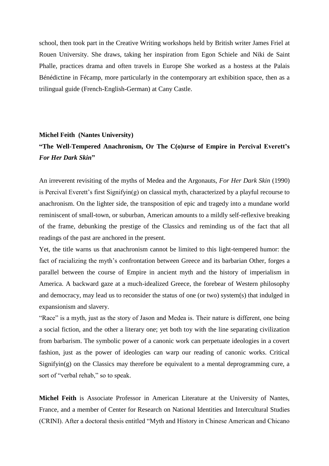school, then took part in the Creative Writing workshops held by British writer James Friel at Rouen University. She draws, taking her inspiration from Egon Schiele and Niki de Saint Phalle, practices drama and often travels in Europe She worked as a hostess at the Palais Bénédictine in Fécamp, more particularly in the contemporary art exhibition space, then as a trilingual guide (French-English-German) at Cany Castle.

### **Michel Feith (Nantes University)**

## **"The Well-Tempered Anachronism, Or The C(o)urse of Empire in Percival Everett's**  *For Her Dark Skin***"**

An irreverent revisiting of the myths of Medea and the Argonauts, *For Her Dark Skin* (1990) is Percival Everett's first Signifyin(g) on classical myth, characterized by a playful recourse to anachronism. On the lighter side, the transposition of epic and tragedy into a mundane world reminiscent of small-town, or suburban, American amounts to a mildly self-reflexive breaking of the frame, debunking the prestige of the Classics and reminding us of the fact that all readings of the past are anchored in the present.

Yet, the title warns us that anachronism cannot be limited to this light-tempered humor: the fact of racializing the myth's confrontation between Greece and its barbarian Other, forges a parallel between the course of Empire in ancient myth and the history of imperialism in America. A backward gaze at a much-idealized Greece, the forebear of Western philosophy and democracy, may lead us to reconsider the status of one (or two) system(s) that indulged in expansionism and slavery.

"Race" is a myth, just as the story of Jason and Medea is. Their nature is different, one being a social fiction, and the other a literary one; yet both toy with the line separating civilization from barbarism. The symbolic power of a canonic work can perpetuate ideologies in a covert fashion, just as the power of ideologies can warp our reading of canonic works. Critical Signifyin(g) on the Classics may therefore be equivalent to a mental deprogramming cure, a sort of "verbal rehab," so to speak.

**Michel Feith** is Associate Professor in American Literature at the University of Nantes, France, and a member of Center for Research on National Identities and Intercultural Studies (CRINI). After a doctoral thesis entitled "Myth and History in Chinese American and Chicano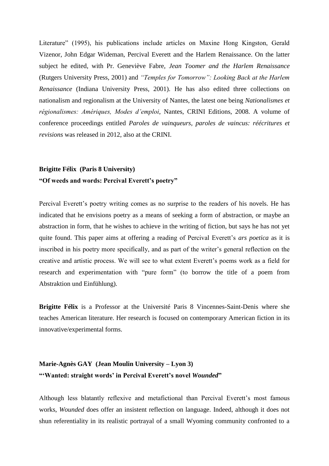Literature" (1995), his publications include articles on Maxine Hong Kingston, Gerald Vizenor, John Edgar Wideman, Percival Everett and the Harlem Renaissance. On the latter subject he edited, with Pr. Geneviève Fabre, *Jean Toomer and the Harlem Renaissance* (Rutgers University Press, 2001) and *"Temples for Tomorrow": Looking Back at the Harlem Renaissance* (Indiana University Press, 2001). He has also edited three collections on nationalism and regionalism at the University of Nantes, the latest one being *Nationalismes et régionalismes: Amériques, Modes d'emploi*, Nantes, CRINI Editions, 2008. A volume of conference proceedings entitled *Paroles de vainqueurs, paroles de vaincus: réécritures et revisions* was released in 2012, also at the CRINI.

# **Brigitte Félix (Paris 8 University) "Of weeds and words: Percival Everett's poetry"**

Percival Everett's poetry writing comes as no surprise to the readers of his novels. He has indicated that he envisions poetry as a means of seeking a form of abstraction, or maybe an abstraction in form, that he wishes to achieve in the writing of fiction, but says he has not yet quite found. This paper aims at offering a reading of Percival Everett's *ars poetica* as it is inscribed in his poetry more specifically, and as part of the writer's general reflection on the creative and artistic process. We will see to what extent Everett's poems work as a field for research and experimentation with "pure form" (to borrow the title of a poem from Abstraktion und Einfühlung).

**Brigitte Félix** is a Professor at the Université Paris 8 Vincennes-Saint-Denis where she teaches American literature. Her research is focused on contemporary American fiction in its innovative/experimental forms.

### **Marie-Agnès GAY (Jean Moulin University – Lyon 3) "'Wanted: straight words' in Percival Everett's novel** *Wounded***"**

Although less blatantly reflexive and metafictional than Percival Everett's most famous works, *Wounded* does offer an insistent reflection on language. Indeed, although it does not shun referentiality in its realistic portrayal of a small Wyoming community confronted to a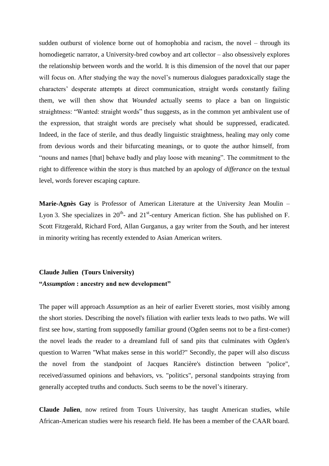sudden outburst of violence borne out of homophobia and racism, the novel – through its homodiegetic narrator, a University-bred cowboy and art collector – also obsessively explores the relationship between words and the world. It is this dimension of the novel that our paper will focus on. After studying the way the novel's numerous dialogues paradoxically stage the characters' desperate attempts at direct communication, straight words constantly failing them, we will then show that *Wounded* actually seems to place a ban on linguistic straightness: "Wanted: straight words" thus suggests, as in the common yet ambivalent use of the expression, that straight words are precisely what should be suppressed, eradicated. Indeed, in the face of sterile, and thus deadly linguistic straightness, healing may only come from devious words and their bifurcating meanings, or to quote the author himself, from "nouns and names [that] behave badly and play loose with meaning". The commitment to the right to difference within the story is thus matched by an apology of *differance* on the textual level, words forever escaping capture.

**Marie-Agnès Gay** is Professor of American Literature at the University Jean Moulin – Lyon 3. She specializes in  $20^{th}$ - and  $21^{st}$ -century American fiction. She has published on F. Scott Fitzgerald, Richard Ford, Allan Gurganus, a gay writer from the South, and her interest in minority writing has recently extended to Asian American writers.

# **Claude Julien (Tours University) "***Assumption* **: ancestry and new development"**

The paper will approach *Assumption* as an heir of earlier Everett stories, most visibly among the short stories. Describing the novel's filiation with earlier texts leads to two paths. We will first see how, starting from supposedly familiar ground (Ogden seems not to be a first-comer) the novel leads the reader to a dreamland full of sand pits that culminates with Ogden's question to Warren "What makes sense in this world?" Secondly, the paper will also discuss the novel from the standpoint of Jacques Rancière's distinction between "police", received/assumed opinions and behaviors, vs. "politics", personal standpoints straying from generally accepted truths and conducts. Such seems to be the novel's itinerary.

**Claude Julien**, now retired from Tours University, has taught American studies, while African-American studies were his research field. He has been a member of the CAAR board.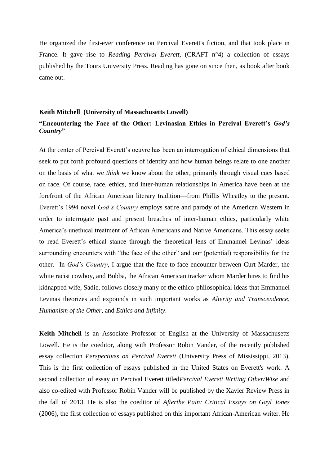He organized the first-ever conference on Percival Everett's fiction, and that took place in France. It gave rise to *Reading Percival Everett*, (CRAFT n°4) a collection of essays published by the Tours University Press. Reading has gone on since then, as book after book came out.

#### **Keith Mitchell (University of Massachusetts Lowell)**

### **"Encountering the Face of the Other: Levinasian Ethics in Percival Everett's** *God's Country***"**

At the center of Percival Everett's oeuvre has been an interrogation of ethical dimensions that seek to put forth profound questions of identity and how human beings relate to one another on the basis of what we *think* we know about the other, primarily through visual cues based on race. Of course, race, ethics, and inter-human relationships in America have been at the forefront of the African American literary tradition—from Phillis Wheatley to the present. Everett's 1994 novel *God's Country* employs satire and parody of the American Western in order to interrogate past and present breaches of inter-human ethics, particularly white America's unethical treatment of African Americans and Native Americans. This essay seeks to read Everett's ethical stance through the theoretical lens of Emmanuel Levinas' ideas surrounding encounters with "the face of the other" and our (potential) responsibility for the other. In *God's Country*, I argue that the face-to-face encounter between Curt Marder, the white racist cowboy, and Bubba, the African American tracker whom Marder hires to find his kidnapped wife, Sadie, follows closely many of the ethico-philosophical ideas that Emmanuel Levinas theorizes and expounds in such important works as *Alterity and Transcendence*, *Humanism of the Other*, and *Ethics and Infinity*.

**Keith Mitchell** is an Associate Professor of English at the University of Massachusetts Lowell. He is the coeditor, along with Professor Robin Vander, of the recently published essay collection *Perspectives on Percival Everett* (University Press of Mississippi, 2013). This is the first collection of essays published in the United States on Everett's work. A second collection of essay on Percival Everett titled*Percival Everett Writing Other/Wise* and also co-edited with Professor Robin Vander will be published by the Xavier Review Press in the fall of 2013. He is also the coeditor of *Afterthe Pain: Critical Essays on Gayl Jones* (2006), the first collection of essays published on this important African-American writer. He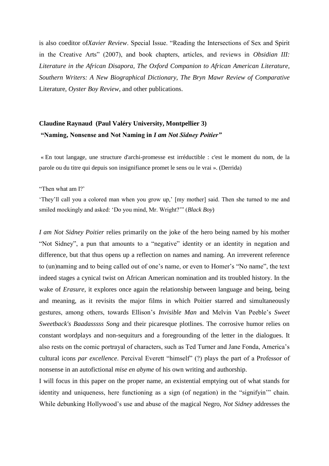is also coeditor of*Xavier Review*. Special Issue. "Reading the Intersections of Sex and Spirit in the Creative Arts" (2007), and book chapters, articles, and reviews in *Obsidian III: Literature in the African Disapora, The Oxford Companion to African American Literature, Southern Writers: A New Biographical Dictionary, The Bryn Mawr Review of Comparative* Literature, *Oyster Boy Review*, and other publications.

### **Claudine Raynaud (Paul Valéry University, Montpellier 3) "Naming, Nonsense and Not Naming in** *I am Not Sidney Poitier"*

« En tout langage, une structure d'archi-promesse est irréductible : c'est le moment du nom, de la parole ou du titre qui depuis son insignifiance promet le sens ou le vrai ». (Derrida)

"Then what am I?'

'They'll call you a colored man when you grow up,' [my mother] said. Then she turned to me and smiled mockingly and asked: 'Do you mind, Mr. Wright?'" (*Black Boy*)

*I am Not Sidney Poitier* relies primarily on the joke of the hero being named by his mother "Not Sidney", a pun that amounts to a "negative" identity or an identity in negation and difference, but that thus opens up a reflection on names and naming. An irreverent reference to (un)naming and to being called out of one's name, or even to Homer's "No name", the text indeed stages a cynical twist on African American nomination and its troubled history. In the wake of *Erasure*, it explores once again the relationship between language and being, being and meaning, as it revisits the major films in which Poitier starred and simultaneously gestures, among others, towards Ellison's *Invisible Man* and Melvin Van Peeble's *Sweet Sweetback's Baadasssss Song* and their picaresque plotlines. The corrosive humor relies on constant wordplays and non-sequiturs and a foregrounding of the letter in the dialogues. It also rests on the comic portrayal of characters, such as Ted Turner and Jane Fonda, America's cultural icons *par excellence*. Percival Everett "himself" (?) plays the part of a Professor of nonsense in an autofictional *mise en abyme* of his own writing and authorship.

I will focus in this paper on the proper name, an existential emptying out of what stands for identity and uniqueness, here functioning as a sign (of negation) in the "signifyin'" chain. While debunking Hollywood's use and abuse of the magical Negro, *Not Sidney* addresses the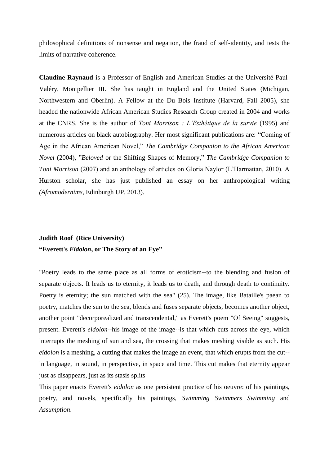philosophical definitions of nonsense and negation, the fraud of self-identity, and tests the limits of narrative coherence.

**Claudine Raynaud** is a Professor of English and American Studies at the Université Paul-Valéry, Montpellier III. She has taught in England and the United States (Michigan, Northwestern and Oberlin). A Fellow at the Du Bois Institute (Harvard, Fall 2005), she headed the nationwide African American Studies Research Group created in 2004 and works at the CNRS. She is the author of *Toni Morrison : L'Esthétique de la survie* (1995) and numerous articles on black autobiography. Her most significant publications are: "Coming of Age in the African American Novel," *The Cambridge Companion to the African American Novel* (2004), "*Beloved* or the Shifting Shapes of Memory," *The Cambridge Companion to Toni Morrison* (2007) and an anthology of articles on Gloria Naylor (L'Harmattan, 2010). A Hurston scholar, she has just published an essay on her anthropological writing *(Afromodernims,* Edinburgh UP, 2013).

# **Judith Roof (Rice University) "Everett's** *Eidolon***, or The Story of an Eye"**

"Poetry leads to the same place as all forms of eroticism--to the blending and fusion of separate objects. It leads us to eternity, it leads us to death, and through death to continuity. Poetry is eternity; the sun matched with the sea" (25). The image, like Bataille's paean to poetry, matches the sun to the sea, blends and fuses separate objects, becomes another object, another point "decorporealized and transcendental," as Everett's poem "Of Seeing" suggests, present. Everett's *eidolon*--his image of the image--is that which cuts across the eye, which interrupts the meshing of sun and sea, the crossing that makes meshing visible as such. His *eidolon* is a meshing, a cutting that makes the image an event, that which erupts from the cut- in language, in sound, in perspective, in space and time. This cut makes that eternity appear just as disappears, just as its stasis splits

This paper enacts Everett's *eidolon* as one persistent practice of his oeuvre: of his paintings, poetry, and novels, specifically his paintings, *Swimming Swimmers Swimming* and *Assumption*.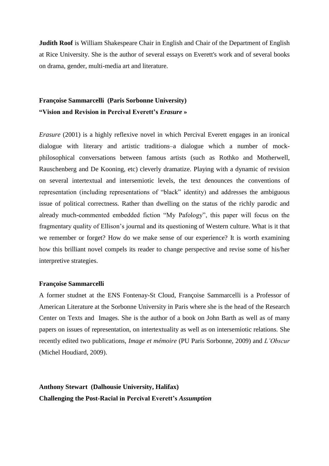**Judith Roof** is William Shakespeare Chair in English and Chair of the Department of English at Rice University. She is the author of several essays on Everett's work and of several books on drama, gender, multi-media art and literature.

# **Françoise Sammarcelli (Paris Sorbonne University) "Vision and Revision in Percival Everett's** *Erasure* **»**

*Erasure* (2001) is a highly reflexive novel in which Percival Everett engages in an ironical dialogue with literary and artistic traditions–a dialogue which a number of mockphilosophical conversations between famous artists (such as Rothko and Motherwell, Rauschenberg and De Kooning, etc) cleverly dramatize. Playing with a dynamic of revision on several intertextual and intersemiotic levels, the text denounces the conventions of representation (including representations of "black" identity) and addresses the ambiguous issue of political correctness. Rather than dwelling on the status of the richly parodic and already much-commented embedded fiction "My Pafology", this paper will focus on the fragmentary quality of Ellison's journal and its questioning of Western culture. What is it that we remember or forget? How do we make sense of our experience? It is worth examining how this brilliant novel compels its reader to change perspective and revise some of his/her interpretive strategies.

### **Françoise Sammarcelli**

A former studnet at the ENS Fontenay-St Cloud, Françoise Sammarcelli is a Professor of American Literature at the Sorbonne University in Paris where she is the head of the Research Center on Texts and Images. She is the author of a book on John Barth as well as of many papers on issues of representation, on intertextuality as well as on intersemiotic relations. She recently edited two publications, *Image et mémoire* (PU Paris Sorbonne, 2009) and *L'Obscur* (Michel Houdiard, 2009).

**Anthony Stewart (Dalhousie University, Halifax) Challenging the Post-Racial in Percival Everett's** *Assumption*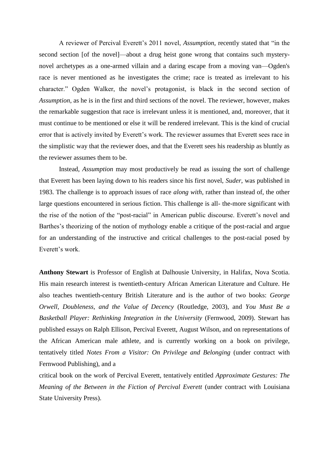A reviewer of Percival Everett's 2011 novel, *Assumption*, recently stated that "in the second section [of the novel]—about a drug heist gone wrong that contains such mysterynovel archetypes as a one-armed villain and a daring escape from a moving van—Ogden's race is never mentioned as he investigates the crime; race is treated as irrelevant to his character." Ogden Walker, the novel's protagonist, is black in the second section of *Assumption*, as he is in the first and third sections of the novel. The reviewer, however, makes the remarkable suggestion that race is irrelevant unless it is mentioned, and, moreover, that it must continue to be mentioned or else it will be rendered irrelevant. This is the kind of crucial error that is actively invited by Everett's work. The reviewer assumes that Everett sees race in the simplistic way that the reviewer does, and that the Everett sees his readership as bluntly as the reviewer assumes them to be.

Instead, *Assumption* may most productively be read as issuing the sort of challenge that Everett has been laying down to his readers since his first novel, *Suder*, was published in 1983. The challenge is to approach issues of race *along with*, rather than instead of, the other large questions encountered in serious fiction. This challenge is all- the-more significant with the rise of the notion of the "post-racial" in American public discourse. Everett's novel and Barthes's theorizing of the notion of mythology enable a critique of the post-racial and argue for an understanding of the instructive and critical challenges to the post-racial posed by Everett's work.

**Anthony Stewart** is Professor of English at Dalhousie University, in Halifax, Nova Scotia. His main research interest is twentieth-century African American Literature and Culture. He also teaches twentieth-century British Literature and is the author of two books: *George Orwell, Doubleness, and the Value of Decency* (Routledge, 2003), and *You Must Be a Basketball Player: Rethinking Integration in the University* (Fernwood, 2009). Stewart has published essays on Ralph Ellison, Percival Everett, August Wilson, and on representations of the African American male athlete, and is currently working on a book on privilege, tentatively titled *Notes From a Visitor: On Privilege and Belonging* (under contract with Fernwood Publishing), and a

critical book on the work of Percival Everett, tentatively entitled *Approximate Gestures: The Meaning of the Between in the Fiction of Percival Everett* (under contract with Louisiana State University Press).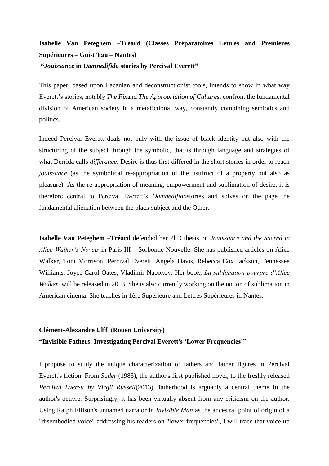# **Isabelle Van Peteghem –Tréard (Classes Préparatoires Lettres and Premières Supérieures – Guist'hau – Nantes)**

### **"***Jouissance* **in** *Damnedifido* **stories by Percival Everett"**

This paper, based upon Lacanian and deconstructionist tools, intends to show in what way Everett's stories, notably *The Fix*and *The Appropriation of Cultures*, confront the fundamental division of American society in a metafictional way, constantly combining semiotics and politics.

Indeed Percival Everett deals not only with the issue of black identity but also with the structuring of the subject through the symbolic, that is through language and strategies of what Derrida calls *differance*. Desire is thus first differed in the short stories in order to reach *jouissance* (as the symbolical re-appropriation of the usufruct of a property but also as pleasure). As the re-appropriation of meaning, empowerment and sublimation of desire, it is therefore central to Percival Everett's *Damnedifido*stories and solves on the page the fundamental alienation between the black subject and the Other.

**Isabelle Van Peteghem –Tréard** defended her PhD thesis on *Jouissance and the Sacred in Alice Walker's Novels* in Paris III – Sorbonne Nouvelle. She has published articles on Alice Walker, Toni Morrison, Percival Everett, Angela Davis, Rebecca Cox Jackson, Tennessee Williams, Joyce Carol Oates, Vladimir Nabokov. Her book, *La sublimation pourpre d'Alice Walker*, will be released in 2013. She is also currently working on the notion of sublimation in American cinema. She teaches in 1ère Supérieure and Lettres Supérieures in Nantes.

# **Clément-Alexandre Ulff (Rouen University) "Invisible Fathers: Investigating Percival Everett's 'Lower Frequencies'"**

I propose to study the unique characterization of fathers and father figures in Percival Everett's fiction. From *Suder* (1983), the author's first published novel, to the freshly released *Percival Everett by Virgil Russell*(2013), fatherhood is arguably a central theme in the author's oeuvre. Surprisingly, it has been virtually absent from any criticism on the author. Using Ralph Ellison's unnamed narrator in *Invisible Man* as the ancestral point of origin of a "disembodied voice" addressing his readers on "lower frequencies", I will trace that voice up